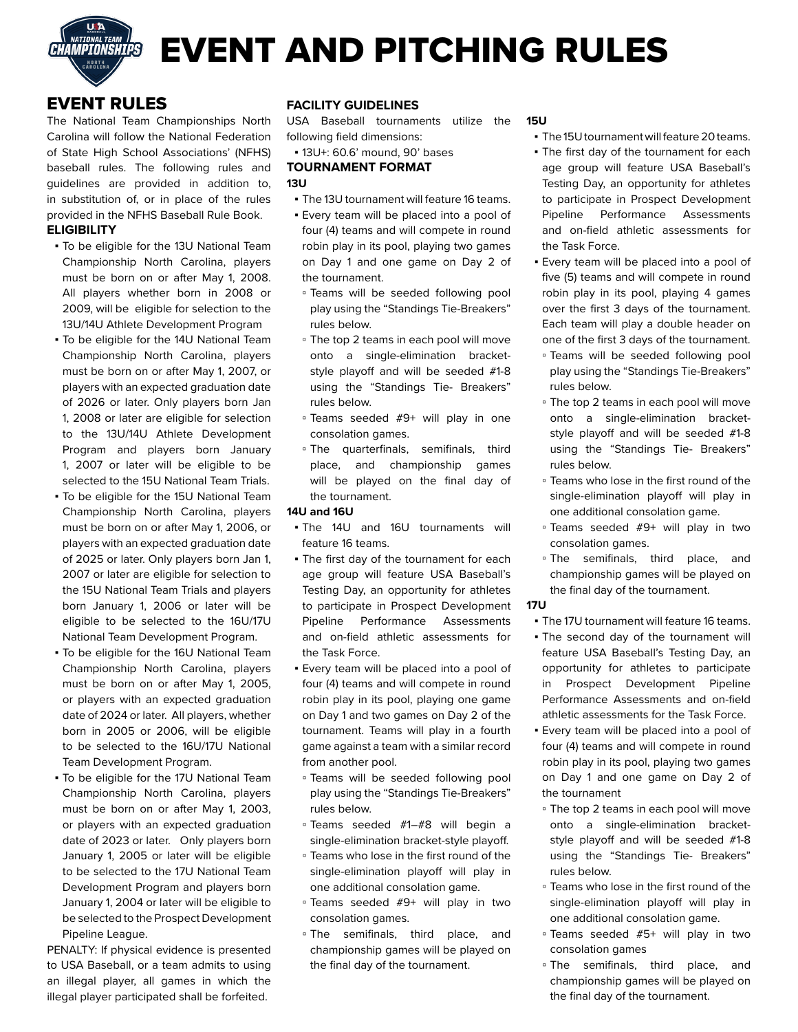

# EVENT AND PITCHING RULES

# EVENT RULES

The National Team Championships North Carolina will follow the National Federation of State High School Associations' (NFHS) baseball rules. The following rules and guidelines are provided in addition to, in substitution of, or in place of the rules provided in the NFHS Baseball Rule Book. **ELIGIBILITY**

- To be eligible for the 13U National Team Championship North Carolina, players must be born on or after May 1, 2008. All players whether born in 2008 or 2009, will be eligible for selection to the 13U/14U Athlete Development Program
- To be eligible for the 14U National Team Championship North Carolina, players must be born on or after May 1, 2007, or players with an expected graduation date of 2026 or later. Only players born Jan 1, 2008 or later are eligible for selection to the 13U/14U Athlete Development Program and players born January 1, 2007 or later will be eligible to be selected to the 15U National Team Trials.
- To be eligible for the 15U National Team Championship North Carolina, players must be born on or after May 1, 2006, or players with an expected graduation date of 2025 or later. Only players born Jan 1, 2007 or later are eligible for selection to the 15U National Team Trials and players born January 1, 2006 or later will be eligible to be selected to the 16U/17U National Team Development Program.
- **To be eligible for the 16U National Team** Championship North Carolina, players must be born on or after May 1, 2005, or players with an expected graduation date of 2024 or later. All players, whether born in 2005 or 2006, will be eligible to be selected to the 16U/17U National Team Development Program.
- To be eligible for the 17U National Team Championship North Carolina, players must be born on or after May 1, 2003, or players with an expected graduation date of 2023 or later. Only players born January 1, 2005 or later will be eligible to be selected to the 17U National Team Development Program and players born January 1, 2004 or later will be eligible to be selected to the Prospect Development Pipeline League.

PENALTY: If physical evidence is presented to USA Baseball, or a team admits to using an illegal player, all games in which the illegal player participated shall be forfeited.

# **FACILITY GUIDELINES**

USA Baseball tournaments utilize the following field dimensions:

▪ 13U+: 60.6' mound, 90' bases

#### **TOURNAMENT FORMAT 13U**

- The 13U tournament will feature 16 teams.
- Every team will be placed into a pool of four (4) teams and will compete in round robin play in its pool, playing two games on Day 1 and one game on Day 2 of the tournament.
	- Teams will be seeded following pool play using the "Standings Tie-Breakers" rules below.
- The top 2 teams in each pool will move onto a single-elimination bracketstyle playoff and will be seeded #1-8 using the "Standings Tie- Breakers" rules below.
- Teams seeded #9+ will play in one consolation games.
- The quarterfinals, semifinals, third place, and championship games will be played on the final day of the tournament.

#### **14U and 16U**

- The 14U and 16U tournaments will feature 16 teams.
- **.** The first day of the tournament for each age group will feature USA Baseball's Testing Day, an opportunity for athletes to participate in Prospect Development Pipeline Performance Assessments and on-field athletic assessments for the Task Force.
- **Every team will be placed into a pool of** four (4) teams and will compete in round robin play in its pool, playing one game on Day 1 and two games on Day 2 of the tournament. Teams will play in a fourth game against a team with a similar record from another pool.
- Teams will be seeded following pool play using the "Standings Tie-Breakers" rules below.
- Teams seeded #1–#8 will begin a single-elimination bracket-style playoff.
- Teams who lose in the first round of the single-elimination playoff will play in one additional consolation game.
- Teams seeded #9+ will play in two consolation games.
- The semifinals, third place, and championship games will be played on the final day of the tournament.

#### **15U**

- The 15U tournament will feature 20 teams.
- **.** The first day of the tournament for each age group will feature USA Baseball's Testing Day, an opportunity for athletes to participate in Prospect Development Pipeline Performance Assessments and on-field athletic assessments for the Task Force.
- **Every team will be placed into a pool of** five (5) teams and will compete in round robin play in its pool, playing 4 games over the first 3 days of the tournament. Each team will play a double header on one of the first 3 days of the tournament.
- Teams will be seeded following pool play using the "Standings Tie-Breakers" rules below.
- The top 2 teams in each pool will move onto a single-elimination bracketstyle playoff and will be seeded #1-8 using the "Standings Tie- Breakers" rules below.
- Teams who lose in the first round of the single-elimination playoff will play in one additional consolation game.
- Teams seeded #9+ will play in two consolation games.
- The semifinals, third place, and championship games will be played on the final day of the tournament.

#### **17U**

- **The 17U tournament will feature 16 teams.**
- . The second day of the tournament will feature USA Baseball's Testing Day, an opportunity for athletes to participate in Prospect Development Pipeline Performance Assessments and on-field athletic assessments for the Task Force.
- Every team will be placed into a pool of four (4) teams and will compete in round robin play in its pool, playing two games on Day 1 and one game on Day 2 of the tournament
- The top 2 teams in each pool will move onto a single-elimination bracketstyle playoff and will be seeded #1-8 using the "Standings Tie- Breakers" rules below.
- Teams who lose in the first round of the single-elimination playoff will play in one additional consolation game.
- Teams seeded #5+ will play in two consolation games
- The semifinals, third place, and championship games will be played on the final day of the tournament.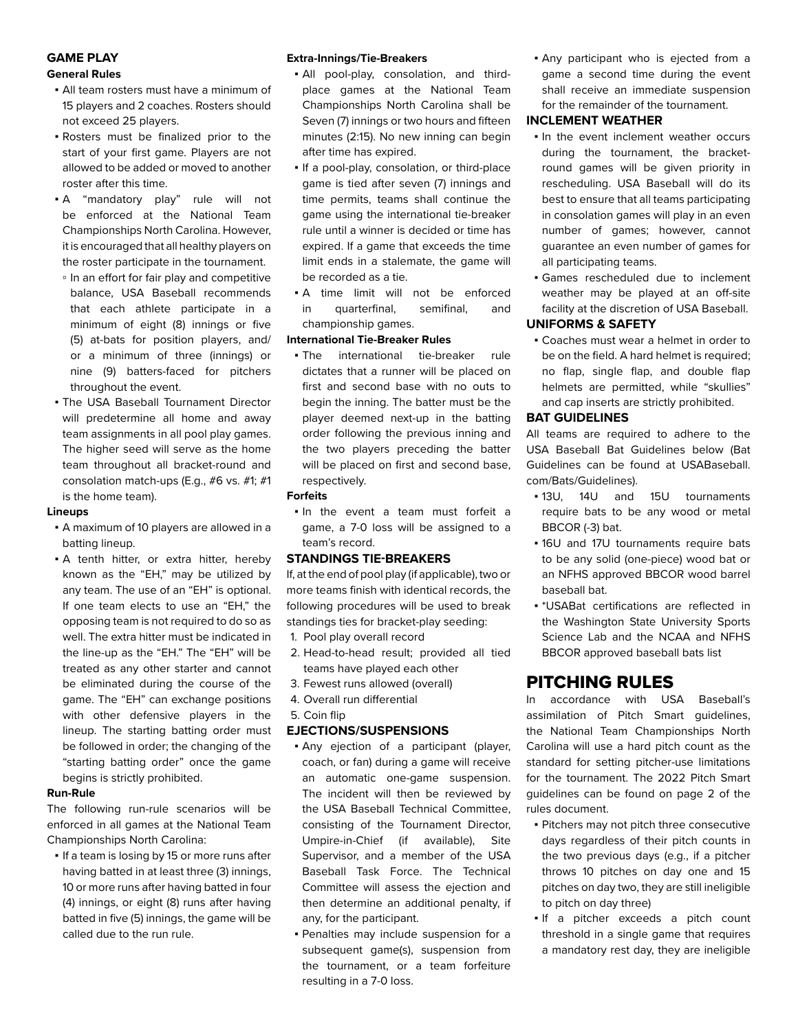## **GAME PLAY**

#### **General Rules**

- All team rosters must have a minimum of 15 players and 2 coaches. Rosters should not exceed 25 players.
- Rosters must be finalized prior to the start of your first game. Players are not allowed to be added or moved to another roster after this time.
- A "mandatory play" rule will not be enforced at the National Team Championships North Carolina. However, it is encouraged that all healthy players on the roster participate in the tournament.
- In an effort for fair play and competitive balance, USA Baseball recommends that each athlete participate in a minimum of eight (8) innings or five (5) at-bats for position players, and/ or a minimum of three (innings) or nine (9) batters-faced for pitchers throughout the event.
- **.** The USA Baseball Tournament Director will predetermine all home and away team assignments in all pool play games. The higher seed will serve as the home team throughout all bracket-round and consolation match-ups (E.g., #6 vs. #1; #1 is the home team).

#### **Lineups**

- A maximum of 10 players are allowed in a batting lineup.
- **A** tenth hitter, or extra hitter, hereby known as the "EH," may be utilized by any team. The use of an "EH" is optional. If one team elects to use an "EH," the opposing team is not required to do so as well. The extra hitter must be indicated in the line-up as the "EH." The "EH" will be treated as any other starter and cannot be eliminated during the course of the game. The "EH" can exchange positions with other defensive players in the lineup. The starting batting order must be followed in order; the changing of the "starting batting order" once the game begins is strictly prohibited.

#### **Run-Rule**

The following run-rule scenarios will be enforced in all games at the National Team Championships North Carolina:

**.** If a team is losing by 15 or more runs after having batted in at least three (3) innings, 10 or more runs after having batted in four (4) innings, or eight (8) runs after having batted in five (5) innings, the game will be called due to the run rule.

#### **Extra-Innings/Tie-Breakers**

- All pool-play, consolation, and thirdplace games at the National Team Championships North Carolina shall be Seven (7) innings or two hours and fifteen minutes (2:15). No new inning can begin after time has expired.
- If a pool-play, consolation, or third-place game is tied after seven (7) innings and time permits, teams shall continue the game using the international tie-breaker rule until a winner is decided or time has expired. If a game that exceeds the time limit ends in a stalemate, the game will be recorded as a tie.
- A time limit will not be enforced in quarterfinal, semifinal, and championship games.

#### **International Tie-Breaker Rules**

▪ The international tie-breaker rule dictates that a runner will be placed on first and second base with no outs to begin the inning. The batter must be the player deemed next-up in the batting order following the previous inning and the two players preceding the batter will be placed on first and second base, respectively.

#### **Forfeits**

▪ In the event a team must forfeit a game, a 7-0 loss will be assigned to a team's record.

#### **STANDINGS TIE-BREAKERS**

If, at the end of pool play (if applicable), two or more teams finish with identical records, the following procedures will be used to break standings ties for bracket-play seeding:

- 1. Pool play overall record
- 2. Head-to-head result; provided all tied teams have played each other
- 3. Fewest runs allowed (overall)
- 4. Overall run differential

5. Coin flip

#### **EJECTIONS/SUSPENSIONS**

- **Any ejection of a participant (player,** coach, or fan) during a game will receive an automatic one-game suspension. The incident will then be reviewed by the USA Baseball Technical Committee, consisting of the Tournament Director, Umpire-in-Chief (if available), Site Supervisor, and a member of the USA Baseball Task Force. The Technical Committee will assess the ejection and then determine an additional penalty, if any, for the participant.
- Penalties may include suspension for a subsequent game(s), suspension from the tournament, or a team forfeiture resulting in a 7-0 loss.

▪ Any participant who is ejected from a game a second time during the event shall receive an immediate suspension for the remainder of the tournament.

#### **INCLEMENT WEATHER**

- In the event inclement weather occurs during the tournament, the bracketround games will be given priority in rescheduling. USA Baseball will do its best to ensure that all teams participating in consolation games will play in an even number of games; however, cannot guarantee an even number of games for all participating teams.
- Games rescheduled due to inclement weather may be played at an off-site facility at the discretion of USA Baseball.

# **UNIFORMS & SAFETY**

▪ Coaches must wear a helmet in order to be on the field. A hard helmet is required; no flap, single flap, and double flap helmets are permitted, while "skullies" and cap inserts are strictly prohibited.

#### **BAT GUIDELINES**

All teams are required to adhere to the USA Baseball Bat Guidelines below (Bat Guidelines can be found at USABaseball. com/Bats/Guidelines).

- 13U, 14U and 15U tournaments require bats to be any wood or metal BBCOR (-3) bat.
- 16U and 17U tournaments require bats to be any solid (one-piece) wood bat or an NFHS approved BBCOR wood barrel baseball bat.
- \*USABat certifications are reflected in the Washington State University Sports Science Lab and the NCAA and NFHS BBCOR approved baseball bats list

# PITCHING RULES

In accordance with USA Baseball's assimilation of Pitch Smart guidelines, the National Team Championships North Carolina will use a hard pitch count as the standard for setting pitcher-use limitations for the tournament. The 2022 Pitch Smart guidelines can be found on page 2 of the rules document.

- Pitchers may not pitch three consecutive days regardless of their pitch counts in the two previous days (e.g., if a pitcher throws 10 pitches on day one and 15 pitches on day two, they are still ineligible to pitch on day three)
- **.** If a pitcher exceeds a pitch count threshold in a single game that requires a mandatory rest day, they are ineligible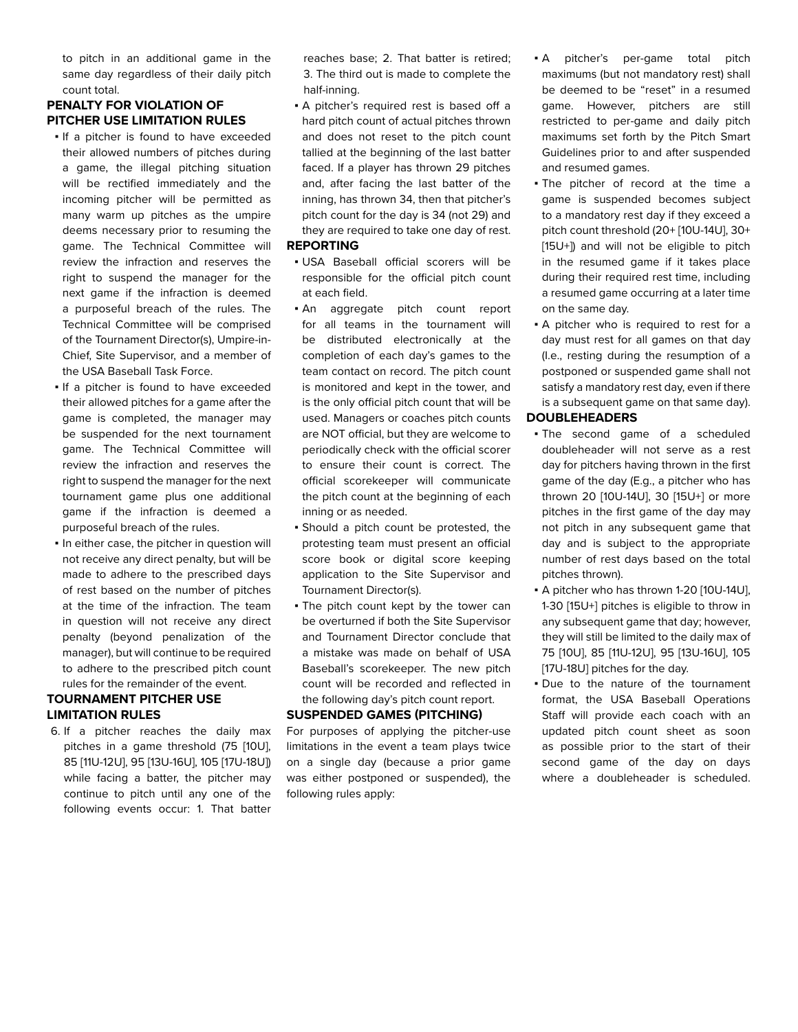to pitch in an additional game in the same day regardless of their daily pitch count total.

## **PENALTY FOR VIOLATION OF PITCHER USE LIMITATION RULES**

- **.** If a pitcher is found to have exceeded their allowed numbers of pitches during a game, the illegal pitching situation will be rectified immediately and the incoming pitcher will be permitted as many warm up pitches as the umpire deems necessary prior to resuming the game. The Technical Committee will review the infraction and reserves the right to suspend the manager for the next game if the infraction is deemed a purposeful breach of the rules. The Technical Committee will be comprised of the Tournament Director(s), Umpire-in-Chief, Site Supervisor, and a member of the USA Baseball Task Force.
- **.** If a pitcher is found to have exceeded their allowed pitches for a game after the game is completed, the manager may be suspended for the next tournament game. The Technical Committee will review the infraction and reserves the right to suspend the manager for the next tournament game plus one additional game if the infraction is deemed a purposeful breach of the rules.
- **.** In either case, the pitcher in question will not receive any direct penalty, but will be made to adhere to the prescribed days of rest based on the number of pitches at the time of the infraction. The team in question will not receive any direct penalty (beyond penalization of the manager), but will continue to be required to adhere to the prescribed pitch count rules for the remainder of the event.

## **TOURNAMENT PITCHER USE LIMITATION RULES**

6. If a pitcher reaches the daily max pitches in a game threshold (75 [10U], 85 [11U-12U], 95 [13U-16U], 105 [17U-18U]) while facing a batter, the pitcher may continue to pitch until any one of the following events occur: 1. That batter

reaches base; 2. That batter is retired; 3. The third out is made to complete the half-inning.

**• A pitcher's required rest is based off a** hard pitch count of actual pitches thrown and does not reset to the pitch count tallied at the beginning of the last batter faced. If a player has thrown 29 pitches and, after facing the last batter of the inning, has thrown 34, then that pitcher's pitch count for the day is 34 (not 29) and they are required to take one day of rest.

#### **REPORTING**

- USA Baseball official scorers will be responsible for the official pitch count at each field.
- **An aggregate pitch count report** for all teams in the tournament will be distributed electronically at the completion of each day's games to the team contact on record. The pitch count is monitored and kept in the tower, and is the only official pitch count that will be used. Managers or coaches pitch counts are NOT official, but they are welcome to periodically check with the official scorer to ensure their count is correct. The official scorekeeper will communicate the pitch count at the beginning of each inning or as needed.
- Should a pitch count be protested, the protesting team must present an official score book or digital score keeping application to the Site Supervisor and Tournament Director(s).
- **.** The pitch count kept by the tower can be overturned if both the Site Supervisor and Tournament Director conclude that a mistake was made on behalf of USA Baseball's scorekeeper. The new pitch count will be recorded and reflected in the following day's pitch count report.

### **SUSPENDED GAMES (PITCHING)**

For purposes of applying the pitcher-use limitations in the event a team plays twice on a single day (because a prior game was either postponed or suspended), the following rules apply:

- A pitcher's per-game total pitch maximums (but not mandatory rest) shall be deemed to be "reset" in a resumed game. However, pitchers are still restricted to per-game and daily pitch maximums set forth by the Pitch Smart Guidelines prior to and after suspended and resumed games.
- The pitcher of record at the time a game is suspended becomes subject to a mandatory rest day if they exceed a pitch count threshold (20+ [10U-14U], 30+ [15U+]) and will not be eligible to pitch in the resumed game if it takes place during their required rest time, including a resumed game occurring at a later time on the same day.
- **A** pitcher who is required to rest for a day must rest for all games on that day (I.e., resting during the resumption of a postponed or suspended game shall not satisfy a mandatory rest day, even if there is a subsequent game on that same day).

## **DOUBLEHEADERS**

- The second game of a scheduled doubleheader will not serve as a rest day for pitchers having thrown in the first game of the day (E.g., a pitcher who has thrown 20 [10U-14U], 30 [15U+] or more pitches in the first game of the day may not pitch in any subsequent game that day and is subject to the appropriate number of rest days based on the total pitches thrown).
- A pitcher who has thrown 1-20 [10U-14U], 1-30 [15U+] pitches is eligible to throw in any subsequent game that day; however, they will still be limited to the daily max of 75 [10U], 85 [11U-12U], 95 [13U-16U], 105 [17U-18U] pitches for the day.
- Due to the nature of the tournament format, the USA Baseball Operations Staff will provide each coach with an updated pitch count sheet as soon as possible prior to the start of their second game of the day on days where a doubleheader is scheduled.